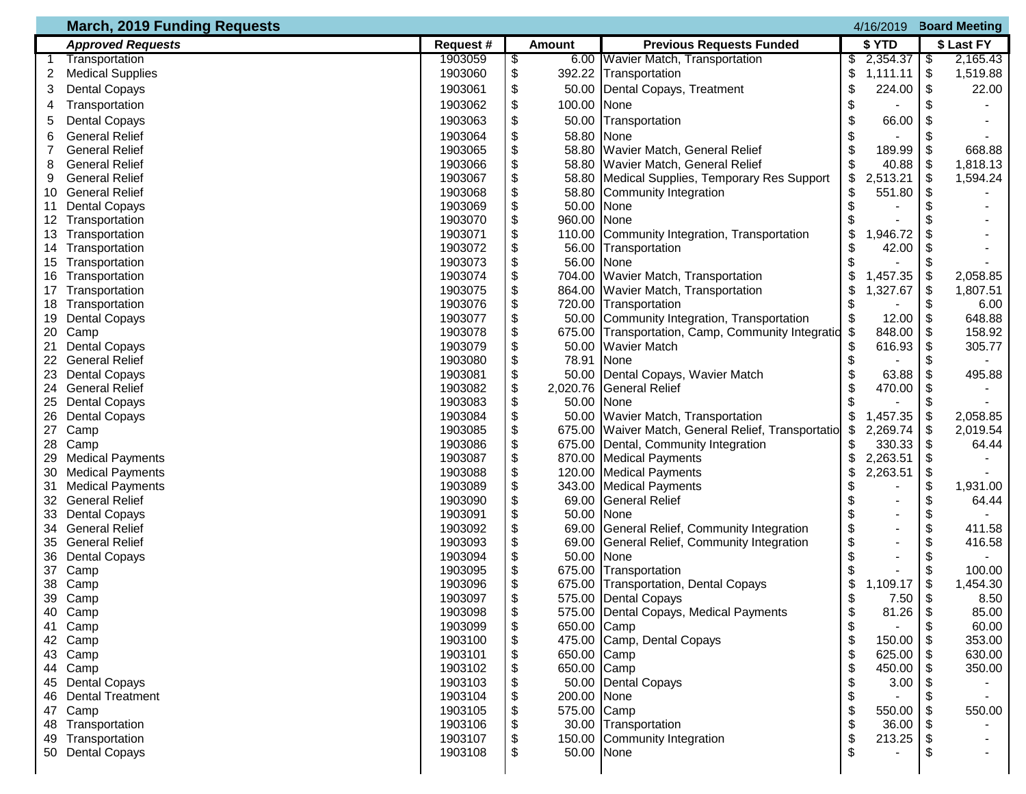|    | <b>March, 2019 Funding Requests</b> | 4/16/2019 |    |               |                                                    |    | <b>Board Meeting</b> |      |            |
|----|-------------------------------------|-----------|----|---------------|----------------------------------------------------|----|----------------------|------|------------|
|    | <b>Approved Requests</b>            | Request # |    | <b>Amount</b> | <b>Previous Requests Funded</b>                    |    | \$ YTD               |      | \$ Last FY |
|    | Transportation                      | 1903059   | \$ |               | 6.00 Wavier Match, Transportation                  | \$ | 2,354.37             | - \$ | 2,165.43   |
| 2  | <b>Medical Supplies</b>             | 1903060   | \$ | 392.22        | Transportation                                     | \$ | 1,111.11             | \$   | 1,519.88   |
| 3  | <b>Dental Copays</b>                | 1903061   | \$ | 50.00         | Dental Copays, Treatment                           | S  | 224.00               | -\$  | 22.00      |
| 4  | Transportation                      | 1903062   | \$ | 100.00        | None                                               |    |                      |      |            |
|    | <b>Dental Copays</b>                | 1903063   | \$ |               | 50.00 Transportation                               | \$ | 66.00                |      |            |
| 6  | <b>General Relief</b>               | 1903064   | \$ | 58.80 None    |                                                    |    |                      |      |            |
| 7  | <b>General Relief</b>               | 1903065   | \$ |               | 58.80 Wavier Match, General Relief                 | \$ | 189.99               | \$   | 668.88     |
| 8  | <b>General Relief</b>               | 1903066   |    |               | 58.80 Wavier Match, General Relief                 |    | 40.88                | \$   | 1,818.13   |
| 9  | <b>General Relief</b>               | 1903067   |    |               | 58.80 Medical Supplies, Temporary Res Support      | \$ | 2,513.21             | \$   | 1,594.24   |
| 10 | <b>General Relief</b>               | 1903068   |    |               | 58.80 Community Integration                        |    | 551.80               |      |            |
| 11 | <b>Dental Copays</b>                | 1903069   | \$ | 50.00 None    |                                                    |    |                      |      |            |
| 12 | Transportation                      | 1903070   | \$ | 960.00 None   |                                                    |    |                      |      |            |
| 13 | Transportation                      | 1903071   |    | 110.00        | Community Integration, Transportation              | \$ | ,946.72              |      |            |
| 14 | Transportation                      | 1903072   |    |               | 56.00 Transportation                               |    | 42.00                |      |            |
| 15 | Transportation                      | 1903073   | \$ | 56.00 None    |                                                    |    |                      |      |            |
| 16 | Transportation                      | 1903074   | \$ | 704.00        | Wavier Match, Transportation                       |    | ,457.35              | \$   | 2,058.85   |
| 17 | Transportation                      | 1903075   | \$ |               | 864.00 Wavier Match, Transportation                | \$ | ,327.67              | \$   | 1,807.51   |
| 18 | Transportation                      | 1903076   |    |               | 720.00 Transportation                              |    |                      |      | 6.00       |
| 19 | <b>Dental Copays</b>                | 1903077   |    |               | 50.00 Community Integration, Transportation        | \$ | 12.00                | -\$  | 648.88     |
| 20 | Camp                                | 1903078   |    |               | 675.00 Transportation, Camp, Community Integratio  | \$ | 848.00               | \$   | 158.92     |
| 21 | <b>Dental Copays</b>                | 1903079   |    |               | 50.00 Wavier Match                                 |    | 616.93               | \$   | 305.77     |
|    | <b>General Relief</b>               | 1903080   | \$ | 78.91         | None                                               |    |                      |      |            |
| 23 | <b>Dental Copays</b>                | 1903081   |    |               | 50.00 Dental Copays, Wavier Match                  |    | 63.88                |      | 495.88     |
| 24 | <b>General Relief</b>               | 1903082   | \$ | 2,020.76      | General Relief                                     |    | 470.00               |      |            |
| 25 | <b>Dental Copays</b>                | 1903083   | \$ | 50.00 None    |                                                    |    |                      |      |            |
| 26 | <b>Dental Copays</b>                | 1903084   | \$ |               | 50.00 Wavier Match, Transportation                 | \$ | ,457.35              |      | 2,058.85   |
| 27 | Camp                                | 1903085   | \$ |               | 675.00 Waiver Match, General Relief, Transportatio | \$ | 2,269.74             | \$   | 2,019.54   |
| 28 | Camp                                | 1903086   |    |               | 675.00 Dental, Community Integration               |    | 330.33               | \$   | 64.44      |
|    | <b>Medical Payments</b>             | 1903087   |    |               | 870.00 Medical Payments                            |    | 2,263.51             | \$   |            |
| 30 | <b>Medical Payments</b>             | 1903088   |    |               | 120.00 Medical Payments                            | \$ | 2,263.51             | \$   |            |
| 31 | <b>Medical Payments</b>             | 1903089   |    |               | 343.00 Medical Payments                            |    |                      |      | 1,931.00   |
| 32 | <b>General Relief</b>               | 1903090   | \$ | 69.00         | General Relief                                     |    |                      |      | 64.44      |
| 33 | <b>Dental Copays</b>                | 1903091   | \$ | 50.00         | None                                               |    |                      |      |            |
| 34 | <b>General Relief</b>               | 1903092   |    |               | 69.00 General Relief, Community Integration        |    |                      | \$   | 411.58     |
| 35 | <b>General Relief</b>               | 1903093   | \$ | 69.00         | General Relief, Community Integration              |    |                      | \$   | 416.58     |
| 36 | <b>Dental Copays</b>                | 1903094   | \$ | 50.00 None    |                                                    |    |                      | S    |            |
| 37 | Camp                                | 1903095   |    |               | 675.00 Transportation                              |    |                      | \$   | 100.00     |
| 38 | Camp                                | 1903096   | \$ |               | 675.00 Transportation, Dental Copays               | \$ | 1,109.17             | \$   | 1,454.30   |
|    | 39 Camp                             | 1903097   | ¢  |               | 575.00 Dental Copays                               |    | 7.50                 | \$   | 8.50       |
|    | 40 Camp                             | 1903098   | \$ |               | 575.00 Dental Copays, Medical Payments             | \$ | 81.26                | -\$  | 85.00      |
|    | 41 Camp                             | 1903099   |    | 650.00 Camp   |                                                    |    |                      |      | 60.00      |
|    | 42 Camp                             | 1903100   |    |               | 475.00 Camp, Dental Copays                         | \$ | 150.00               | \$   | 353.00     |
|    | 43 Camp                             | 1903101   |    | 650.00 Camp   |                                                    |    | 625.00               |      | 630.00     |
| 44 | Camp                                | 1903102   |    | 650.00 Camp   |                                                    |    | 450.00               |      | 350.00     |
|    | 45 Dental Copays                    | 1903103   |    |               | 50.00 Dental Copays                                |    | 3.00                 |      |            |
|    | <b>Dental Treatment</b>             | 1903104   |    | 200.00 None   |                                                    |    |                      |      |            |
|    | 47 Camp                             | 1903105   |    | 575.00 Camp   |                                                    |    | 550.00               |      | 550.00     |
| 48 | Transportation                      | 1903106   |    |               | 30.00 Transportation                               |    | 36.00                |      |            |
| 49 | Transportation                      | 1903107   |    |               | 150.00 Community Integration                       |    | 213.25               |      |            |
|    | 50 Dental Copays                    | 1903108   |    | 50.00 None    |                                                    |    |                      |      |            |
|    |                                     |           |    |               |                                                    |    |                      |      |            |

 $\mathbf{I}$